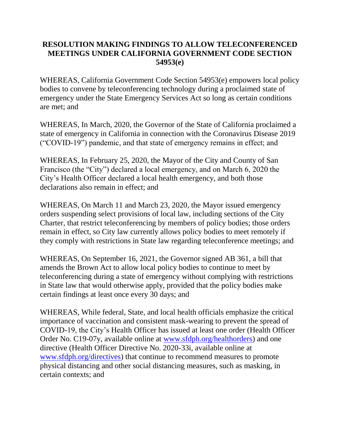## **RESOLUTION MAKING FINDINGS TO ALLOW TELECONFERENCED MEETINGS UNDER CALIFORNIA GOVERNMENT CODE SECTION 54953(e)**

WHEREAS, California Government Code Section 54953(e) empowers local policy bodies to convene by teleconferencing technology during a proclaimed state of emergency under the State Emergency Services Act so long as certain conditions are met; and

WHEREAS, In March, 2020, the Governor of the State of California proclaimed a state of emergency in California in connection with the Coronavirus Disease 2019 ("COVID-19") pandemic, and that state of emergency remains in effect; and

WHEREAS, In February 25, 2020, the Mayor of the City and County of San Francisco (the "City") declared a local emergency, and on March 6, 2020 the City's Health Officer declared a local health emergency, and both those declarations also remain in effect; and

WHEREAS, On March 11 and March 23, 2020, the Mayor issued emergency orders suspending select provisions of local law, including sections of the City Charter, that restrict teleconferencing by members of policy bodies; those orders remain in effect, so City law currently allows policy bodies to meet remotely if they comply with restrictions in State law regarding teleconference meetings; and

WHEREAS, On September 16, 2021, the Governor signed AB 361, a bill that amends the Brown Act to allow local policy bodies to continue to meet by teleconferencing during a state of emergency without complying with restrictions in State law that would otherwise apply, provided that the policy bodies make certain findings at least once every 30 days; and

WHEREAS, While federal, State, and local health officials emphasize the critical importance of vaccination and consistent mask-wearing to prevent the spread of COVID-19, the City's Health Officer has issued at least one order (Health Officer Order No. C19-07y, available online at [www.sfdph.org/healthorders\)](https://www.sfdph.org/healthorders) and one directive (Health Officer Directive No. 2020-33i, available online at [www.sfdph.org/directives\)](https://www.sfdph.org/directives) that continue to recommend measures to promote physical distancing and other social distancing measures, such as masking, in certain contexts; and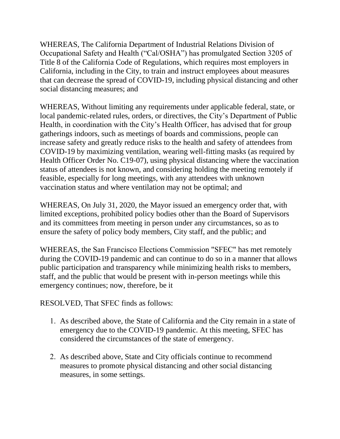WHEREAS, The California Department of Industrial Relations Division of Occupational Safety and Health ("Cal/OSHA") has promulgated Section 3205 of Title 8 of the California Code of Regulations, which requires most employers in California, including in the City, to train and instruct employees about measures that can decrease the spread of COVID-19, including physical distancing and other social distancing measures; and

WHEREAS, Without limiting any requirements under applicable federal, state, or local pandemic-related rules, orders, or directives, the City's Department of Public Health, in coordination with the City's Health Officer, has advised that for group gatherings indoors, such as meetings of boards and commissions, people can increase safety and greatly reduce risks to the health and safety of attendees from COVID-19 by maximizing ventilation, wearing well-fitting masks (as required by Health Officer Order No. C19-07), using physical distancing where the vaccination status of attendees is not known, and considering holding the meeting remotely if feasible, especially for long meetings, with any attendees with unknown vaccination status and where ventilation may not be optimal; and

WHEREAS, On July 31, 2020, the Mayor issued an emergency order that, with limited exceptions, prohibited policy bodies other than the Board of Supervisors and its committees from meeting in person under any circumstances, so as to ensure the safety of policy body members, City staff, and the public; and

WHEREAS, the San Francisco Elections Commission "SFEC" has met remotely during the COVID-19 pandemic and can continue to do so in a manner that allows public participation and transparency while minimizing health risks to members, staff, and the public that would be present with in-person meetings while this emergency continues; now, therefore, be it

RESOLVED, That SFEC finds as follows:

- 1. As described above, the State of California and the City remain in a state of emergency due to the COVID-19 pandemic. At this meeting, SFEC has considered the circumstances of the state of emergency.
- 2. As described above, State and City officials continue to recommend measures to promote physical distancing and other social distancing measures, in some settings.